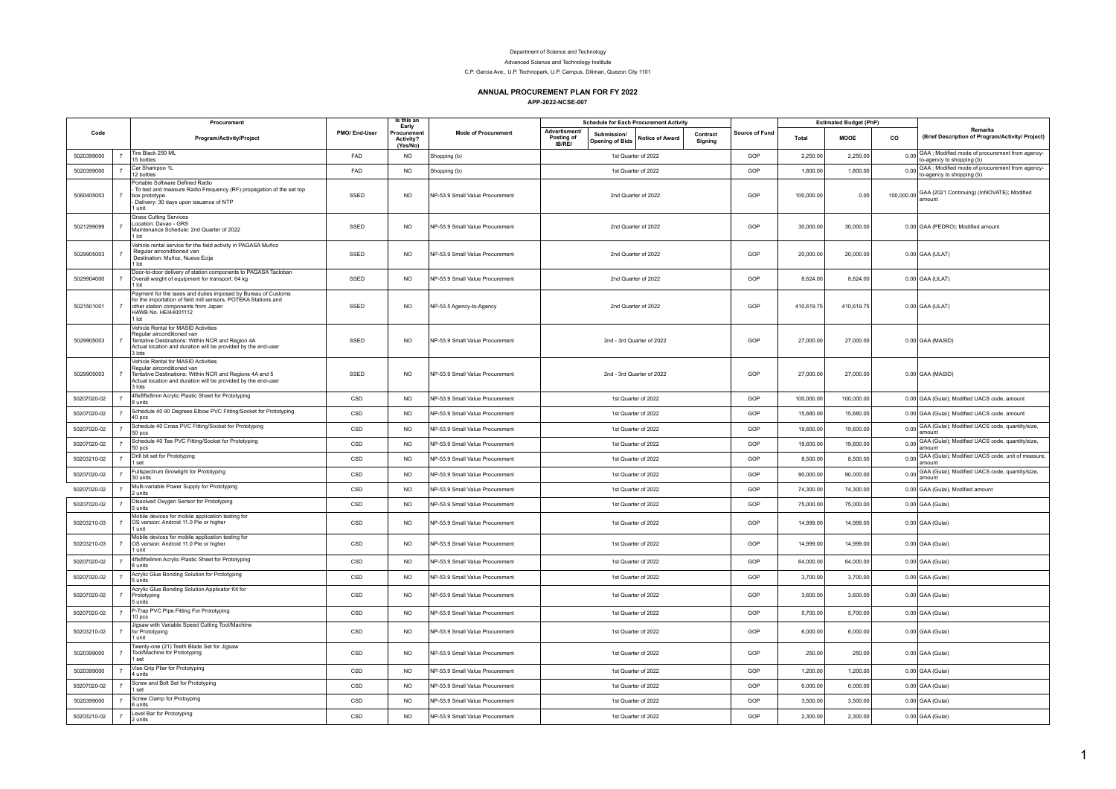## Department of Science and Technology

Advanced Science and Technology Institute

C.P. Garcia Ave., U.P. Technopark, U.P. Campus, Diliman, Quezon City 1101

## **ANNUAL PROCUREMENT PLAN FOR FY 2022**

**APP-2022-NCSE-007**

| Code        |                | Procurement<br>Program/Activity/Project                                                                                                                                                                 | PMO/ End-User | Is this an<br>Early                 |                                 | <b>Schedule for Each Procurement Activity</b> |                                       |                           |                     | <b>Estimated Budget (PhP)</b> |                                                                                  |             |    |                                                                                  |
|-------------|----------------|---------------------------------------------------------------------------------------------------------------------------------------------------------------------------------------------------------|---------------|-------------------------------------|---------------------------------|-----------------------------------------------|---------------------------------------|---------------------------|---------------------|-------------------------------|----------------------------------------------------------------------------------|-------------|----|----------------------------------------------------------------------------------|
|             |                |                                                                                                                                                                                                         |               | Procuremer<br>Activity?<br>(Yes/No) | <b>Mode of Procurement</b>      | Advertisment/<br>Posting of<br><b>IB/REI</b>  | Submission/<br><b>Opening of Bids</b> | <b>Notice of Award</b>    | Contract<br>Signing | Source of Fund                | Total                                                                            | <b>MOOE</b> | co | Remarks<br>(Brief Description of Program/Activity/ Project)                      |
| 5020399000  | $\overline{7}$ | Tire Black 250 ML<br>15 bottles                                                                                                                                                                         | FAD           | <b>NO</b>                           | Shopping (b)                    | 1st Quarter of 2022                           |                                       | GOP                       | 2,250.00            | 2,250.00                      | 0.00 GAA; Modified mode of procurement from agency-<br>to-agency to shopping (b) |             |    |                                                                                  |
| 5020399000  | $\overline{7}$ | Car Shampoo 1L<br>12 bottles                                                                                                                                                                            | FAD           | <b>NO</b>                           | Shopping (b)                    |                                               |                                       | 1st Quarter of 2022       |                     | GOP                           | 1,800.00                                                                         | 1,800.00    |    | 0.00 GAA; Modified mode of procurement from agency-<br>to-agency to shopping (b) |
| 5060405003  | $\overline{7}$ | Portable Software Defined Radio<br>To test and measure Radio Frequency (RF) propagation of the set top<br>box prototype.<br>Delivery: 30 days upon issuance of NTP<br>I unit                            | SSED          | <b>NO</b>                           | NP-53.9 Small Value Procurement |                                               |                                       | 2nd Quarter of 2022       |                     | GOP                           | 100,000.00                                                                       | 0.00        |    | 100,000.00 GAA (2021 Continuing) (InNOVATE); Modified<br>amount                  |
| 5021299099  | $\overline{7}$ | <b>Grass Cutting Services</b><br>Location: Davao - GRS<br>Maintenance Schedule: 2nd Quarter of 2022<br>1 lot                                                                                            | SSED          | <b>NO</b>                           | NP-53.9 Small Value Procurement |                                               |                                       | 2nd Quarter of 2022       |                     | GOP                           | 30,000.00                                                                        | 30,000.00   |    | 0.00 GAA (PEDRO); Modified amount                                                |
| 5029905003  |                | Vehicle rental service for the field activity in PAGASA Muñoz<br>Regular airconditioned van<br>Destination: Muñoz, Nueva Ecija<br>1 lot                                                                 | SSED          | <b>NO</b>                           | NP-53.9 Small Value Procurement |                                               |                                       | 2nd Quarter of 2022       |                     | GOP                           | 20,000.00                                                                        | 20,000.00   |    | $0.00$ GAA (ULAT)                                                                |
| 5029904000  | $\overline{7}$ | Door-to-door delivery of station components to PAGASA Tacloban<br>Overall weight of equipment for transport: 64 kg<br>I lot                                                                             | SSED          | <b>NO</b>                           | NP-53.9 Small Value Procurement |                                               |                                       | 2nd Quarter of 2022       |                     | GOP                           | 8,624.00                                                                         | 8,624.00    |    | $0.00$ GAA (ULAT)                                                                |
| 5021501001  |                | Payment for the taxes and duties imposed by Bureau of Customs<br>for the importation of field mill sensors. POTEKA Stations and<br>other station components from Japan<br>HAWB No. HEI44001112<br>1 lot | SSED          | <b>NO</b>                           | NP-53.5 Agency-to-Agency        |                                               |                                       | 2nd Quarter of 2022       |                     | GOP                           | 410,619.75                                                                       | 410,619.75  |    | $0.00$ GAA (ULAT)                                                                |
| 5029905003  |                | Vehicle Rental for MASID Activities<br>Regular airconditioned van<br>Tentative Destinations: Within NCR and Region 4A<br>Actual location and duration will be provided by the end-user<br>3 lots        | SSED          | <b>NO</b>                           | NP-53.9 Small Value Procurement |                                               |                                       | 2nd - 3rd Quarter of 2022 |                     | GOP                           | 27,000.00                                                                        | 27,000.00   |    | $0.00$ GAA (MASID)                                                               |
| 5029905003  | $\overline{7}$ | Vehicle Rental for MASID Activities<br>Regular airconditioned van<br>Tentative Destinations: Within NCR and Regions 4A and 5<br>Actual location and duration will be provided by the end-user<br>3 lots | SSED          | <b>NO</b>                           | NP-53.9 Small Value Procurement |                                               |                                       | 2nd - 3rd Quarter of 2022 |                     | GOP                           | 27,000.00                                                                        | 27,000.00   |    | $0.00$ GAA (MASID)                                                               |
| 50207020-02 | $\overline{7}$ | 4ftx8ftx8mm Acrylic Plastic Sheet for Prototyping<br>8 units                                                                                                                                            | CSD           | <b>NO</b>                           | NP-53.9 Small Value Procurement |                                               |                                       | 1st Quarter of 2022       |                     | GOP                           | 100,000.00                                                                       | 100,000.00  |    | 0.00 GAA (Gulai); Modified UACS code, amount                                     |
| 50207020-02 | $\overline{7}$ | Schedule 40 90 Degrees Elbow PVC Fitting/Socket for Prototyping<br>40 <sub>pos</sub>                                                                                                                    | CSD           | <b>NO</b>                           | NP-53 9 Small Value Procurement |                                               |                                       | 1st Quarter of 2022       |                     | GOP                           | 15,680.00                                                                        | 15,680.00   |    | 0.00 GAA (Gulai); Modified UACS code, amount                                     |
| 50207020-02 | $\overline{7}$ | Schedule 40 Cross PVC Fitting/Socket for Prototyping<br>50 pcs                                                                                                                                          | CSD           | <b>NO</b>                           | NP-53.9 Small Value Procurement |                                               |                                       | 1st Quarter of 2022       |                     | GOP                           | 19,600.00                                                                        | 19,600.00   |    | 0.00 GAA (Gulai); Modified UACS code, quantity/size,<br>amount                   |
| 50207020-02 | $\overline{7}$ | Schedule 40 Tee PVC Fitting/Socket for Prototyping<br>50 pcs                                                                                                                                            | CSD           | <b>NO</b>                           | NP-53.9 Small Value Procurement |                                               |                                       | 1st Quarter of 2022       |                     | GOP                           | 19,600.00                                                                        | 19,600.00   |    | 0.00 GAA (Gulai); Modified UACS code, quantity/size,<br>amount                   |
| 50203210-02 | $\overline{7}$ | Drill bit set for Prototyping<br>1 set                                                                                                                                                                  | CSD           | <b>NO</b>                           | NP-53.9 Small Value Procurement |                                               |                                       | 1st Quarter of 2022       |                     | GOP                           | 8,500.00                                                                         | 8,500.00    |    | 0.00 GAA (Gulai); Modified UACS code, unit of measure<br>amount                  |
| 50207020-02 | $\overline{7}$ | Fullspectrum Growlight for Prototyping<br>30 units                                                                                                                                                      | CSD           | <b>NO</b>                           | NP-53.9 Small Value Procurement |                                               |                                       | 1st Quarter of 2022       |                     | GOP                           | 90,000.00                                                                        | 90,000.00   |    | 0.00 GAA (Gulai); Modified UACS code, quantity/size,                             |
| 50207020-02 | $\overline{7}$ | Multi-variable Power Supply for Prototyping<br>2 units                                                                                                                                                  | CSD           | <b>NO</b>                           | NP-53.9 Small Value Procurement |                                               |                                       | 1st Quarter of 2022       |                     | GOP                           | 74,300.00                                                                        | 74,300.00   |    | 0.00 GAA (Gulai), Modified amount                                                |
| 50207020-02 | $\overline{7}$ | Dissolved Oxygen Sensor for Prototyping<br>5 units                                                                                                                                                      | CSD           | <b>NO</b>                           | NP-53.9 Small Value Procurement |                                               |                                       | 1st Quarter of 2022       |                     | GOP                           | 75,000.00                                                                        | 75,000.00   |    | 0.00 GAA (Gulai)                                                                 |
| 50203210-03 | $\overline{7}$ | Mobile devices for mobile application testing for<br>OS version: Android 11.0 Pie or higher<br>1 unit                                                                                                   | CSD           | N <sub>O</sub>                      | NP-53.9 Small Value Procurement |                                               |                                       | 1st Quarter of 2022       |                     | GOP                           | 14,999.00                                                                        | 14.999.00   |    | 0.00 GAA (Gulai)                                                                 |
| 50203210-03 |                | Mobile devices for mobile application testing for<br>OS version: Android 11.0 Pie or higher<br>I unit                                                                                                   | CSD           | <b>NO</b>                           | NP-53.9 Small Value Procurement |                                               |                                       | 1st Quarter of 2022       |                     | GOP                           | 14,999.00                                                                        | 14,999.00   |    | 0.00 GAA (Gulai)                                                                 |
| 50207020-02 | $\overline{7}$ | 4ftx8ftx6mm Acrylic Plastic Sheet for Prototyping<br>8 units                                                                                                                                            | CSD           | <b>NO</b>                           | NP-53.9 Small Value Procurement |                                               |                                       | 1st Quarter of 2022       |                     | GOP                           | 64,000.00                                                                        | 64,000.00   |    | 0.00 GAA (Gulai)                                                                 |
| 50207020-02 | $\overline{7}$ | Acrylic Glue Bonding Solution for Prototyping<br>5 units                                                                                                                                                | CSD           | <b>NO</b>                           | NP-53.9 Small Value Procurement |                                               |                                       | 1st Quarter of 2022       |                     | GOP                           | 3,700.00                                                                         | 3,700.00    |    | 0.00 GAA (Gulai)                                                                 |
| 50207020-02 |                | Acrylic Glue Bonding Solution Applicator Kit for<br>Prototyping<br>5 units                                                                                                                              | CSD           | <b>NO</b>                           | NP-53.9 Small Value Procurement |                                               |                                       | 1st Quarter of 2022       |                     | GOP                           | 3,600.00                                                                         | 3,600.00    |    | 0.00 GAA (Gulai)                                                                 |
| 50207020-02 |                | P-Trap PVC Pipe Fitting For Prototyping<br>10 pcs                                                                                                                                                       | CSD           | <b>NO</b>                           | NP-53.9 Small Value Procurement |                                               |                                       | 1st Quarter of 2022       |                     | GOP                           | 5,700.00                                                                         | 5,700.00    |    | 0.00 GAA (Gulai)                                                                 |
| 50203210-02 |                | Jigsaw with Variable Speed Cutting Tool/Machine<br>for Prototyping<br>l unit                                                                                                                            | CSD           | NO.                                 | NP-53.9 Small Value Procurement |                                               |                                       | 1st Quarter of 2022       |                     | GOP                           | 6,000.00                                                                         | 6,000.00    |    | 0.00 GAA (Gulai)                                                                 |
| 5020399000  | $\overline{7}$ | Twenty-one (21) Teeth Blade Set for Jigsaw<br>Tool/Machine for Prototyping<br>set                                                                                                                       | CSD           | <b>NO</b>                           | NP-53.9 Small Value Procurement |                                               |                                       | 1st Quarter of 2022       |                     | GOP                           | 250.00                                                                           | 250.00      |    | 0.00 GAA (Gulai)                                                                 |
| 5020399000  | $\overline{7}$ | Vise Grip Plier for Prototyping<br>4 units                                                                                                                                                              | CSD           | <b>NO</b>                           | NP-53.9 Small Value Procurement |                                               |                                       | 1st Quarter of 2022       |                     | GOP                           | 1,200.00                                                                         | 1,200.00    |    | 0.00 GAA (Gulai)                                                                 |
| 50207020-02 | $\overline{7}$ | Screw and Bolt Set for Prototyping<br>set                                                                                                                                                               | CSD           | <b>NO</b>                           | NP-53.9 Small Value Procurement |                                               |                                       | 1st Quarter of 2022       |                     | GOP                           | 6,000.00                                                                         | 6,000.00    |    | 0.00 GAA (Gulai)                                                                 |
| 5020399000  |                | Screw Clamp for Protoyping<br>6 units                                                                                                                                                                   | CSD           | <b>NO</b>                           | NP-53.9 Small Value Procurement |                                               |                                       | 1st Quarter of 2022       |                     | GOP                           | 3,500.00                                                                         | 3,500.00    |    | 0.00 GAA (Gulai)                                                                 |
| 50203210-02 | $\overline{7}$ | Level Bar for Prototyping<br>2 units                                                                                                                                                                    | CSD           | NO.                                 | NP-53.9 Small Value Procurement |                                               |                                       | 1st Quarter of 2022       |                     | GOP                           | 2,300.00                                                                         | 2,300.00    |    | 0.00 GAA (Gulai)                                                                 |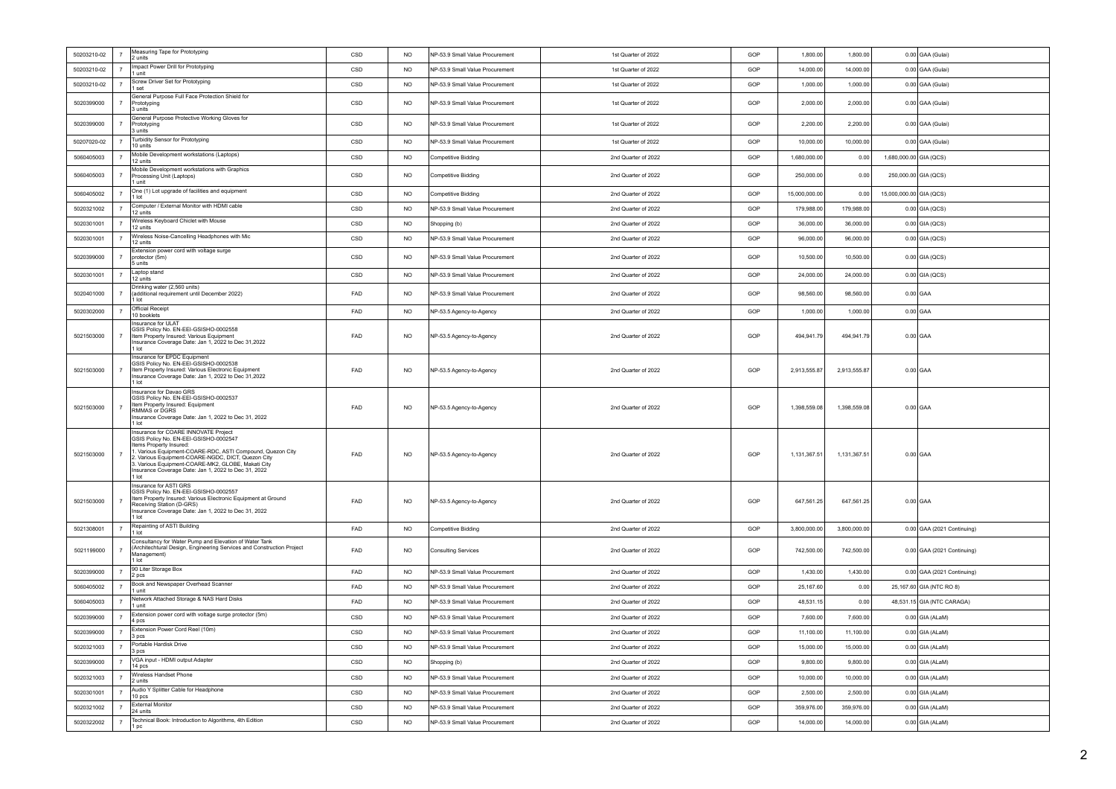| 50203210-02 | $\overline{7}$ | Measuring Tape for Prototyping<br>2 units                                                                                                                                                                                                                                                                                                           | CSD        | N <sub>O</sub>  | NP-53.9 Small Value Procurement | 1st Quarter of 2022 | GOP             | 1,800.00             | 1,800.00                       | 0.00 GAA (Gulai)           |  |
|-------------|----------------|-----------------------------------------------------------------------------------------------------------------------------------------------------------------------------------------------------------------------------------------------------------------------------------------------------------------------------------------------------|------------|-----------------|---------------------------------|---------------------|-----------------|----------------------|--------------------------------|----------------------------|--|
| 50203210-02 | $\overline{7}$ | Impact Power Drill for Prototyping<br>1 unit                                                                                                                                                                                                                                                                                                        | CSD        | <b>NO</b>       | NP-53.9 Small Value Procurement | 1st Quarter of 2022 | GOP             | 14,000.00            | 14,000.00                      | 0.00 GAA (Gulai)           |  |
| 50203210-02 | $\overline{7}$ | Screw Driver Set for Prototyping<br>I set                                                                                                                                                                                                                                                                                                           | CSD        | NO <sub>1</sub> | NP-53.9 Small Value Procurement | 1st Quarter of 2022 | GOP             | 1.000.00             | 1.000.00                       | 0.00 GAA (Gulai)           |  |
| 5020399000  | $\overline{7}$ | General Purpose Full Face Protection Shield for<br>Prototyping<br>3 units                                                                                                                                                                                                                                                                           | CSD        | N <sub>O</sub>  | NP-53.9 Small Value Procurement | 1st Quarter of 2022 | GOP             | 2.000.00<br>2,000.00 |                                | 0.00 GAA (Gulai)           |  |
| 5020399000  | $\overline{7}$ | General Purpose Protective Working Gloves for<br>Prototyping<br>3 units                                                                                                                                                                                                                                                                             | CSD        | <b>NO</b>       | NP-53.9 Small Value Procurement | 1st Quarter of 2022 | GOP<br>2,200.00 |                      | 2,200.00                       | 0.00 GAA (Gulai)           |  |
| 50207020-02 | $\overline{7}$ | Turbidity Sensor for Prototyping<br>10 units                                                                                                                                                                                                                                                                                                        | CSD        | N <sub>O</sub>  | NP-53 9 Small Value Procurement | 1st Quarter of 2022 | GOP             | 10,000.00            | 10,000.00                      | 0.00 GAA (Gulai)           |  |
| 5060405003  | $\overline{7}$ | Mobile Development workstations (Laptops)<br>12 units                                                                                                                                                                                                                                                                                               | CSD        | <b>NO</b>       | Competitive Bidding             | 2nd Quarter of 2022 | GOP             | 1,680,000.00         | 0.00                           | 1,680,000.00 GIA (QCS)     |  |
| 5060405003  | $\overline{7}$ | Mobile Development workstations with Graphics<br>Processing Unit (Laptops)<br>1 unit                                                                                                                                                                                                                                                                | CSD        | <b>NO</b>       | Competitive Bidding             | 2nd Quarter of 2022 | GOP             | 250,000.00           | 0.00                           | 250,000.00 GIA (QCS)       |  |
| 5060405002  | 7              | One (1) Lot upgrade of facilities and equipment<br>1 lot                                                                                                                                                                                                                                                                                            | CSD        | N <sub>O</sub>  | Competitive Bidding             | 2nd Quarter of 2022 | GOP             | 15,000,000.00        | 0.00                           | 15,000,000.00 GIA (QCS)    |  |
| 5020321002  | $\overline{7}$ | Computer / External Monitor with HDMI cable<br>12 units                                                                                                                                                                                                                                                                                             | CSD        | <b>NO</b>       | NP-53.9 Small Value Procurement | 2nd Quarter of 2022 | GOP             | 179,988.00           | 179,988.00                     | $0.00$ GIA (QCS)           |  |
| 5020301001  | $\overline{7}$ | Wireless Keyboard Chiclet with Mouse<br>12 units                                                                                                                                                                                                                                                                                                    | CSD        | <b>NO</b>       | Shopping (b)                    | 2nd Quarter of 2022 | GOP             | 36,000.00            | 36,000.00                      | $0.00$ GIA (QCS)           |  |
| 5020301001  | $\overline{7}$ | Wireless Noise-Cancelling Headphones with Mic<br>12 units                                                                                                                                                                                                                                                                                           | CSD        | N <sub>O</sub>  | NP-53.9 Small Value Procurement | 2nd Quarter of 2022 | GOP             | 96,000.00            | 96,000.00                      | $0.00$ GIA (QCS)           |  |
| 5020399000  |                | Extension power cord with voltage surge<br>protector (5m)<br>l 5 units                                                                                                                                                                                                                                                                              | CSD        | <b>NO</b>       | NP-53.9 Small Value Procurement | 2nd Quarter of 2022 | GOP             | 10,500.00            | 10,500.00                      | $0.00$ GIA (QCS)           |  |
| 5020301001  | $\overline{7}$ | Laptop stand<br>12 units                                                                                                                                                                                                                                                                                                                            | CSD        | N <sub>O</sub>  | NP-53.9 Small Value Procurement | 2nd Quarter of 2022 | GOP             | 24,000.00            | 24,000.00                      | $0.00$ GIA (QCS)           |  |
| 5020401000  |                | Drinking water (2,560 units)<br>(additional requirement until December 2022)<br>I lot                                                                                                                                                                                                                                                               | FAD        | N <sub>O</sub>  | NP-53.9 Small Value Procurement | 2nd Quarter of 2022 | GOP             | 98,560.00            | 98,560.00                      | $0.00$ GAA                 |  |
| 5020302000  | $\overline{7}$ | Official Receipt<br>10 booklets                                                                                                                                                                                                                                                                                                                     | FAD        | N <sub>O</sub>  | NP-53.5 Agency-to-Agency        | 2nd Quarter of 2022 | GOP             | 1.000.00             | 1.000.00                       | $0.00$ GAA                 |  |
| 5021503000  |                | Insurance for ULAT<br>GSIS Policy No. EN-EEI-GSISHO-0002558<br>Item Property Insured: Various Equipment<br>Insurance Coverage Date: Jan 1, 2022 to Dec 31,2022<br>1 lot                                                                                                                                                                             | FAD        | <b>NO</b>       | NP-53.5 Agency-to-Agency        | 2nd Quarter of 2022 | GOP             | 494,941.79           | 494,941.79                     | $0.00$ GAA                 |  |
| 5021503000  | $\overline{7}$ | Insurance for EPDC Equipment<br>GSIS Policy No. EN-EEI-GSISHO-0002538<br>Item Property Insured: Various Electronic Equipment<br>Insurance Coverage Date: Jan 1, 2022 to Dec 31,2022<br>1 lot                                                                                                                                                        | FAD        | <b>NO</b>       | NP-53.5 Agency-to-Agency        | 2nd Quarter of 2022 | GOP             | 2,913,555.87         | 2,913,555.87                   | $0.00$ GAA                 |  |
| 5021503000  | $\overline{7}$ | Insurance for Davao GRS<br>GSIS Policy No. EN-EEI-GSISHO-0002537<br>tem Property Insured: Equipment<br>RMMAS or DGRS<br>Insurance Coverage Date: Jan 1, 2022 to Dec 31, 2022<br>1 lot                                                                                                                                                               | FAD        | <b>NO</b>       | NP-53.5 Agency-to-Agency        | 2nd Quarter of 2022 | GOP             | 1,398,559.08         | 1,398,559.08                   | $0.00$ GAA                 |  |
| 5021503000  | $\overline{7}$ | Insurance for COARE INNOVATE Project<br>GSIS Policy No. EN-EEI-GSISHO-0002547<br>Items Property Insured:<br>I. Various Equipment-COARE-RDC, ASTI Compound, Quezon City<br>2. Various Equipment-COARE-NGDC, DICT, Quezon City<br>3. Various Equipment-COARE-MK2, GLOBE, Makati City<br>Insurance Coverage Date: Jan 1, 2022 to Dec 31, 2022<br>1 lot | FAD        | <b>NO</b>       | NP-53.5 Agency-to-Agency        | 2nd Quarter of 2022 | GOP             | 1,131,367.51         | 1,131,367.51                   | $0.00$ GAA                 |  |
| 5021503000  | $\overline{7}$ | Insurance for ASTI GRS<br>GSIS Policy No. EN-EEI-GSISHO-0002557<br>Item Property Insured: Various Electronic Equipment at Ground<br>Receiving Station (D-GRS)<br>Insurance Coverage Date: Jan 1, 2022 to Dec 31, 2022<br>1 lot                                                                                                                      | FAD        | <b>NO</b>       | NP-53.5 Agency-to-Agency        | 2nd Quarter of 2022 | GOP             | 647,561.25           | 647,561.25                     | $0.00$ GAA                 |  |
| 5021308001  | $\overline{7}$ | Repainting of ASTI Building<br>1 lot                                                                                                                                                                                                                                                                                                                | FAD        | <b>NO</b>       | Competitive Bidding             | 2nd Quarter of 2022 | GOP             | 3,800,000.00         | 3,800,000.00                   | 0.00 GAA (2021 Continuing) |  |
| 5021199000  | $\overline{7}$ | Consultancy for Water Pump and Elevation of Water Tank<br>(Architechtural Design, Engineering Services and Construction Project<br>Management)<br>1 lot                                                                                                                                                                                             | FAD        | <b>NO</b>       | <b>Consulting Services</b>      | 2nd Quarter of 2022 | GOP             | 742,500.00           | 742,500.00                     | 0.00 GAA (2021 Continuing) |  |
| 5020399000  | $\overline{7}$ | 90 Liter Storage Box<br>2 pcs                                                                                                                                                                                                                                                                                                                       | FAD        | <b>NO</b>       | NP-53.9 Small Value Procurement | 2nd Quarter of 2022 | GOP             | 1,430.00             | 1,430.00                       | 0.00 GAA (2021 Continuing) |  |
| 5060405002  | $\overline{7}$ | Book and Newspaper Overhead Scanner<br>1 unit                                                                                                                                                                                                                                                                                                       | <b>FAD</b> | N <sub>O</sub>  | NP-53 9 Small Value Procurement | 2nd Quarter of 2022 | GOP             | 25 167 60            | 0.00                           | 25,167.60 GIA (NTC RO 8)   |  |
| 5060405003  |                | Network Attached Storage & NAS Hard Disks<br>1 unit                                                                                                                                                                                                                                                                                                 | FAD        | <b>NO</b>       | NP-53.9 Small Value Procurement | 2nd Quarter of 2022 | GOP             | 48,531.15            | 0.00                           | 48,531.15 GIA (NTC CARAGA) |  |
| 5020399000  | $\overline{7}$ | Extension power cord with voltage surge protector (5m)<br>4 pcs                                                                                                                                                                                                                                                                                     | CSD        | <b>NO</b>       | NP-53.9 Small Value Procurement | 2nd Quarter of 2022 | GOP             | 7,600.00             | 7,600.00                       | 0.00 GIA (ALaM)            |  |
| 5020399000  | $\overline{7}$ | Extension Power Cord Reel (10m)<br>3 <sub>pcs</sub>                                                                                                                                                                                                                                                                                                 | CSD        | <b>NO</b>       | NP-53.9 Small Value Procurement | 2nd Quarter of 2022 | GOP             | 11,100.00            | 11,100.00<br>$0.00$ GIA (ALaM) |                            |  |
| 5020321003  | $\overline{7}$ | Portable Hardisk Drive<br>3 pcs                                                                                                                                                                                                                                                                                                                     | CSD        | <b>NO</b>       | NP-53.9 Small Value Procurement | 2nd Quarter of 2022 | GOP             | 15,000.00            | 15,000.00                      | 0.00 GIA (ALaM)            |  |
| 5020399000  | $\overline{7}$ | VGA input - HDMI output Adapter<br>14 pcs                                                                                                                                                                                                                                                                                                           | CSD        | <b>NO</b>       | Shopping (b)                    | 2nd Quarter of 2022 | GOP             | 9,800.00             | 9,800.00                       | $0.00$ GIA (ALaM)          |  |
| 5020321003  | $\overline{7}$ | Wireless Handset Phone<br>2 units                                                                                                                                                                                                                                                                                                                   | CSD        | <b>NO</b>       | NP-53.9 Small Value Procurement | 2nd Quarter of 2022 | GOP             | 10,000.00            | 10,000.00                      | $0.00$ GIA (ALaM)          |  |
| 5020301001  | $\overline{7}$ | Audio Y Splitter Cable for Headphone<br>10 pcs                                                                                                                                                                                                                                                                                                      | CSD        | <b>NO</b>       | NP-53.9 Small Value Procurement | 2nd Quarter of 2022 | GOP             | 2,500.00             | 2,500.00                       | $0.00$ GIA (ALaM)          |  |
| 5020321002  | $\overline{7}$ | <b>External Monitor</b><br>24 units                                                                                                                                                                                                                                                                                                                 | CSD        | <b>NO</b>       | NP-53.9 Small Value Procurement | 2nd Quarter of 2022 | GOP             | 359,976.00           | 359,976.00                     | $0.00$ GIA (ALaM)          |  |
| 5020322002  | $7^{\circ}$    | Technical Book: Introduction to Algorithms, 4th Edition<br>  1 pc                                                                                                                                                                                                                                                                                   | CSD        | <b>NO</b>       | NP-53.9 Small Value Procurement | 2nd Quarter of 2022 | GOP             | 14,000.00            | 14,000.00                      | $0.00$ GIA (ALaM)          |  |
|             |                |                                                                                                                                                                                                                                                                                                                                                     |            |                 |                                 |                     |                 |                      |                                |                            |  |